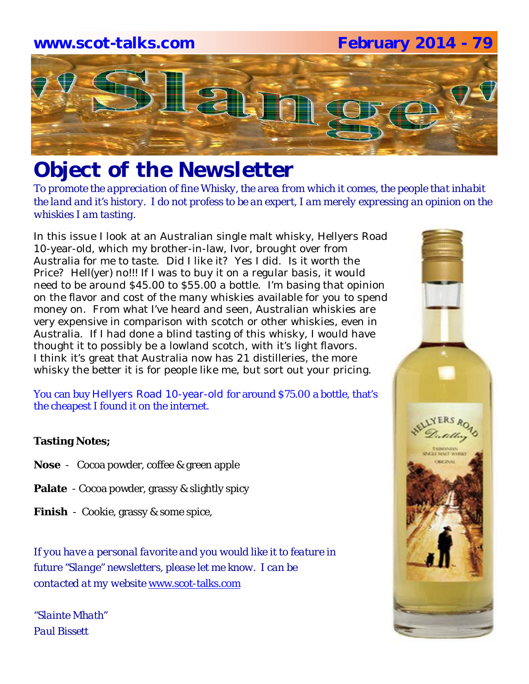

# *Object of the Newsletter*

*To promote the appreciation of fine Whisky, the area from which it comes, the people that inhabit the land and it's history. I do not profess to be an expert, I am merely expressing an opinion on the whiskies I am tasting.* 

In this issue I look at an Australian single malt whisky, Hellyers Road 10-year-old, which my brother-in-law, Ivor, brought over from Australia for me to taste. Did I like it? Yes I did. Is it worth the Price? Hell(yer) no!!! If I was to buy it on a regular basis, it would need to be around \$45.00 to \$55.00 a bottle. I'm basing that opinion on the flavor and cost of the many whiskies available for you to spend money on. From what I've heard and seen, Australian whiskies are very expensive in comparison with scotch or other whiskies, even in Australia. If I had done a blind tasting of this whisky, I would have thought it to possibly be a lowland scotch, with it's light flavors. I think it's great that Australia now has 21 distilleries, the more whisky the better it is for people like me, but sort out your pricing.

You can buy Hellyers Road 10-year-old for around \$75.00 a bottle, that's the cheapest I found it on the internet.

### **Tasting Notes;**

- **Nose**  Cocoa powder, coffee & green apple
- **Palate**  Cocoa powder, grassy & slightly spicy
- **Finish**  Cookie, grassy & some spice,

*If you have a personal favorite and you would like it to feature in future "Slange" newsletters, please let me know. I can be contacted at my website* www.scot-talks.com

*"Slainte Mhath" Paul Bissett*

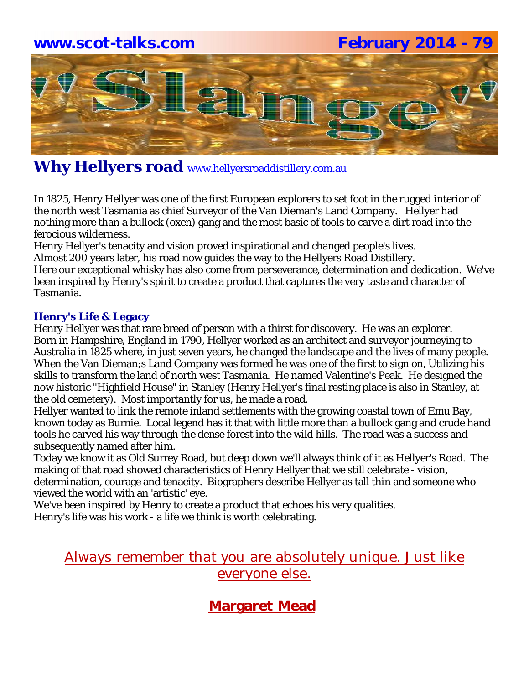### **www.scot-talks.com February 2014 - 79**



### Why Hellyers road www.hellyersroaddistillery.com.au

In 1825, Henry Hellyer was one of the first European explorers to set foot in the rugged interior of the north west Tasmania as chief Surveyor of the Van Dieman's Land Company. Hellyer had nothing more than a bullock (oxen) gang and the most basic of tools to carve a dirt road into the ferocious wilderness.

Henry Hellyer's tenacity and vision proved inspirational and changed people's lives.

Almost 200 years later, his road now guides the way to the Hellyers Road Distillery.

Here our exceptional whisky has also come from perseverance, determination and dedication. We've been inspired by Henry's spirit to create a product that captures the very taste and character of Tasmania.

### **Henry's Life & Legacy**

Henry Hellyer was that rare breed of person with a thirst for discovery. He was an explorer. Born in Hampshire, England in 1790, Hellyer worked as an architect and surveyor journeying to Australia in 1825 where, in just seven years, he changed the landscape and the lives of many people. When the Van Dieman;s Land Company was formed he was one of the first to sign on, Utilizing his skills to transform the land of north west Tasmania. He named Valentine's Peak. He designed the now historic "Highfield House" in Stanley (Henry Hellyer's final resting place is also in Stanley, at the old cemetery). Most importantly for us, he made a road.

Hellyer wanted to link the remote inland settlements with the growing coastal town of Emu Bay, known today as Burnie. Local legend has it that with little more than a bullock gang and crude hand tools he carved his way through the dense forest into the wild hills. The road was a success and subsequently named after him.

Today we know it as Old Surrey Road, but deep down we'll always think of it as Hellyer's Road. The making of that road showed characteristics of Henry Hellyer that we still celebrate - vision, determination, courage and tenacity. Biographers describe Hellyer as tall thin and someone who viewed the world with an 'artistic' eye.

We've been inspired by Henry to create a product that echoes his very qualities.

Henry's life was his work - a life we think is worth celebrating.

### Always remember that you are absolutely unique. Just like everyone else.

### **Margaret Mead**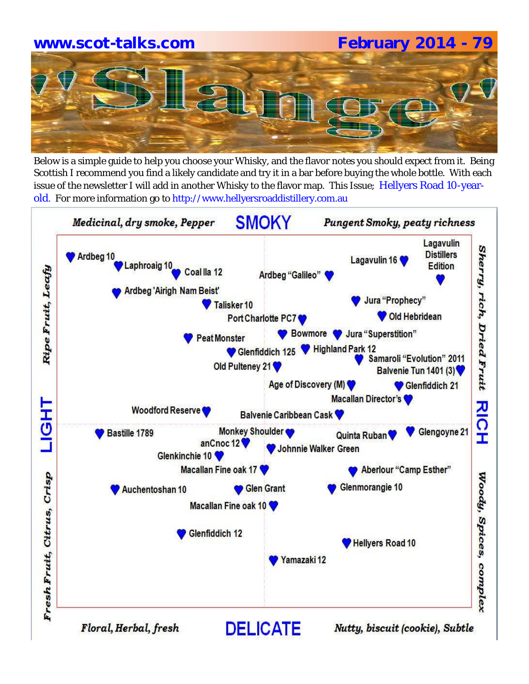# **www.scot-talks.com February 2014 - 79**

Below is a simple guide to help you choose your Whisky, and the flavor notes you should expect from it. Being Scottish I recommend you find a likely candidate and try it in a bar before buying the whole bottle. With each issue of the newsletter I will add in another Whisky to the flavor map. This Issue; Hellyers Road 10-yearold. For more information go to http://www.hellyersroaddistillery.com.au

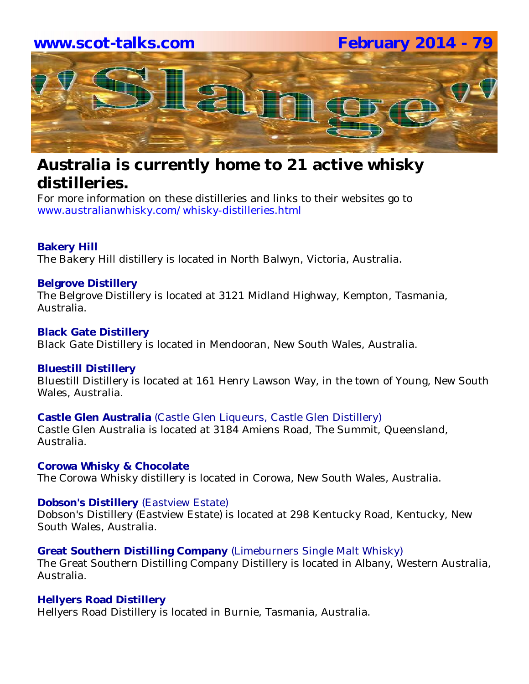

## **Australia is currently home to 21 active whisky distilleries.**

For more information on these distilleries and links to their websites go to www.australianwhisky.com/whisky-distilleries.html

### **Bakery Hill**

The Bakery Hill distillery is located in North Balwyn, Victoria, Australia.

### **Belgrove Distillery**

The Belgrove Distillery is located at 3121 Midland Highway, Kempton, Tasmania, Australia.

### **Black Gate Distillery**

Black Gate Distillery is located in Mendooran, New South Wales, Australia.

### **Bluestill Distillery**

Bluestill Distillery is located at 161 Henry Lawson Way, in the town of Young, New South Wales, Australia.

### **Castle Glen Australia** (Castle Glen Liqueurs, Castle Glen Distillery)

Castle Glen Australia is located at 3184 Amiens Road, The Summit, Queensland, Australia.

### **Corowa Whisky & Chocolate**

The Corowa Whisky distillery is located in Corowa, New South Wales, Australia.

### **Dobson's Distillery** (Eastview Estate)

Dobson's Distillery (Eastview Estate) is located at 298 Kentucky Road, Kentucky, New South Wales, Australia.

### **Great Southern Distilling Company** (Limeburners Single Malt Whisky)

The Great Southern Distilling Company Distillery is located in Albany, Western Australia, Australia.

### **Hellyers Road Distillery**

Hellyers Road Distillery is located in Burnie, Tasmania, Australia.